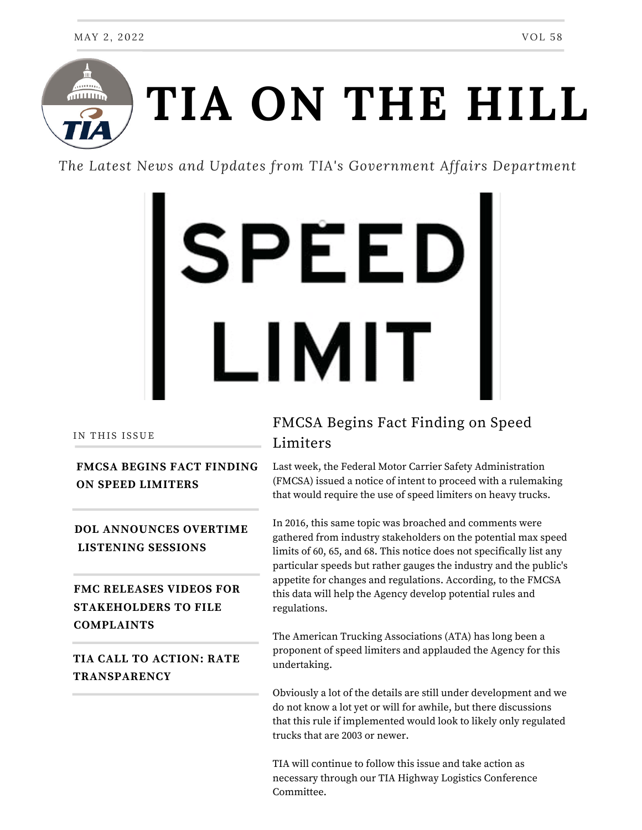

*The Latest News and Updates from TIA's Government Affairs Department*



#### IN THIS ISSUE

### **FMCSA BEGINS FACT FINDING ON SPEED LIMITERS**

**DOL ANNOUNCES OVERTIME LISTENING SESSIONS**

**FMC RELEASES VIDEOS FOR STAKEHOLDERS TO FILE COMPLAINTS**

# **TIA CALL TO ACTION: RATE TRANSPARENCY**

# FMCSA Begins Fact Finding on Speed Limiters

Last week, the Federal Motor Carrier Safety Administration (FMCSA) issued a notice of intent to proceed with a rulemaking that would require the use of speed limiters on heavy trucks.

In 2016, this same topic was broached and comments were gathered from industry stakeholders on the potential max speed limits of 60, 65, and 68. This notice does not specifically list any particular speeds but rather gauges the industry and the public's appetite for changes and regulations. According, to the FMCSA this data will help the Agency develop potential rules and regulations.

The American Trucking Associations (ATA) has long been a proponent of speed limiters and applauded the Agency for this undertaking.

Obviously a lot of the details are still under development and we do not know a lot yet or will for awhile, but there discussions that this rule if implemented would look to likely only regulated trucks that are 2003 or newer.

TIA will continue to follow this issue and take action as necessary through our TIA Highway Logistics Conference Committee.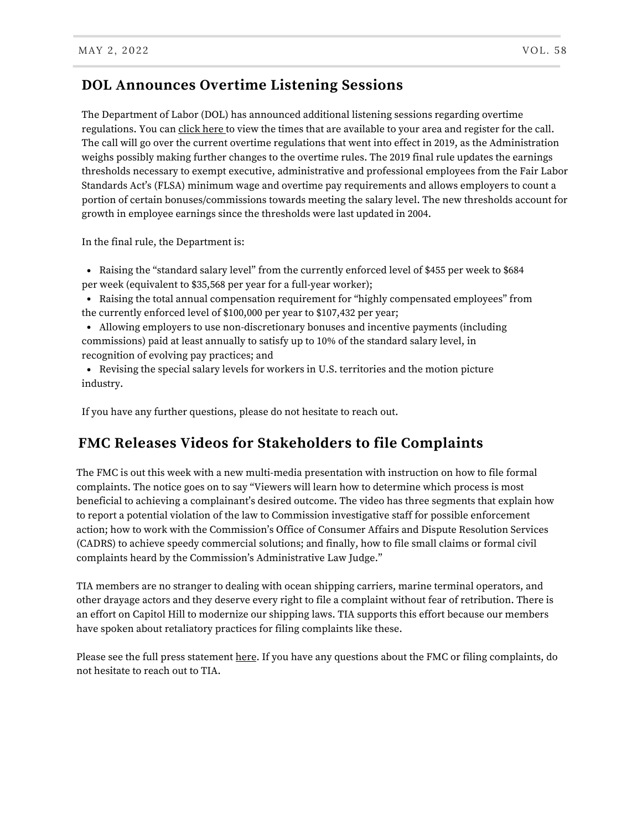# **DOL Announces Overtime Listening Sessions**

The Department of Labor (DOL) has announced additional listening sessions regarding overtime regulations. You can [click](https://www.dol.gov/agencies/whd/overtime-listening?utm_medium=email&utm_source=govdelivery) here to view the times that are available to your area and register for the call. The call will go over the current overtime regulations that went into effect in 2019, as the Administration weighs possibly making further changes to the overtime rules. The 2019 final rule updates the earnings thresholds necessary to exempt executive, administrative and professional employees from the Fair Labor Standards Act's (FLSA) minimum wage and overtime pay requirements and allows employers to count a portion of certain bonuses/commissions towards meeting the salary level. The new thresholds account for growth in employee earnings since the thresholds were last updated in 2004.

In the final rule, the Department is:

Raising the "standard salary level" from the currently enforced level of \$455 per week to \$684 per week (equivalent to \$35,568 per year for a full-year worker);

Raising the total annual compensation requirement for "highly compensated employees" from the currently enforced level of \$100,000 per year to \$107,432 per year;

Allowing employers to use non-discretionary bonuses and incentive payments (including commissions) paid at least annually to satisfy up to 10% of the standard salary level, in recognition of evolving pay practices; and

Revising the special salary levels for workers in U.S. territories and the motion picture industry.

If you have any further questions, please do not hesitate to reach out.

### **FMC Releases Videos for Stakeholders to file Complaints**

The FMC is out this week with a new multi-media presentation with instruction on how to file formal complaints. The notice goes on to say "Viewers will learn how to determine which process is most beneficial to achieving a complainant's desired outcome. The video has three segments that explain how to report a potential violation of the law to Commission investigative staff for possible enforcement action; how to work with the Commission's Office of Consumer Affairs and Dispute Resolution Services (CADRS) to achieve speedy commercial solutions; and finally, how to file small claims or formal civil complaints heard by the Commission's Administrative Law Judge."

TIA members are no stranger to dealing with ocean shipping carriers, marine terminal operators, and other drayage actors and they deserve every right to file a complaint without fear of retribution. There is an effort on Capitol Hill to modernize our shipping laws. TIA supports this effort because our members have spoken about retaliatory practices for filing complaints like these.

Please see the full press statement [here.](https://www.fmc.gov/fmc-launches-instructional-video-on-how-to-file-complaints/) If you have any questions about the FMC or filing complaints, do not hesitate to reach out to TIA.